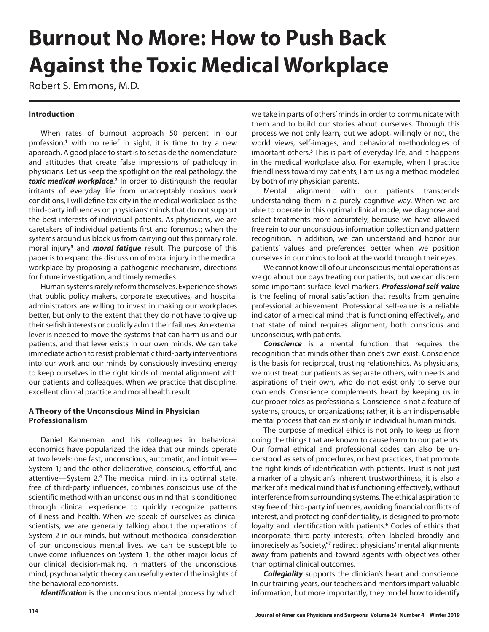## **Burnout No More: How to Push Back Against the Toxic Medical Workplace**

Robert S. Emmons, M.D.

## **Introduction**

When rates of burnout approach 50 percent in our profession,**<sup>1</sup>** with no relief in sight, it is time to try a new approach. A good place to start is to set aside the nomenclature and attitudes that create false impressions of pathology in physicians. Let us keep the spotlight on the real pathology, the toxic medical workplace.<sup>2</sup> In order to distinguish the regular irritants of everyday life from unacceptably noxious work conditions, I will define toxicity in the medical workplace as the third-party influences on physicians' minds that do not support the best interests of individual patients. As physicians, we are caretakers of individual patients first and foremost; when the systems around us block us from carrying out this primary role, moral injury**<sup>3</sup>** and *moral fatigue* result. The purpose of this paper is to expand the discussion of moral injury in the medical workplace by proposing a pathogenic mechanism, directions for future investigation, and timely remedies.

Human systems rarely reform themselves. Experience shows that public policy makers, corporate executives, and hospital administrators are willing to invest in making our workplaces better, but only to the extent that they do not have to give up their selfish interests or publicly admit their failures. An external lever is needed to move the systems that can harm us and our patients, and that lever exists in our own minds. We can take immediate action to resist problematic third-party interventions into our work and our minds by consciously investing energy to keep ourselves in the right kinds of mental alignment with our patients and colleagues. When we practice that discipline, excellent clinical practice and moral health result.

## **A Theory of the Unconscious Mind in Physician Professionalism**

Daniel Kahneman and his colleagues in behavioral economics have popularized the idea that our minds operate at two levels: one fast, unconscious, automatic, and intuitive— System 1; and the other deliberative, conscious, effortful, and attentive—System 2.**<sup>4</sup>** The medical mind, in its optimal state, free of third-party influences, combines conscious use of the scientific method with an unconscious mind that is conditioned through clinical experience to quickly recognize patterns of illness and health. When we speak of ourselves as clinical scientists, we are generally talking about the operations of System 2 in our minds, but without methodical consideration of our unconscious mental lives, we can be susceptible to unwelcome influences on System 1, the other major locus of our clinical decision-making. In matters of the unconscious mind, psychoanalytic theory can usefully extend the insights of the behavioral economists.

*Identification* is the unconscious mental process by which

we take in parts of others' minds in order to communicate with them and to build our stories about ourselves. Through this process we not only learn, but we adopt, willingly or not, the world views, self-images, and behavioral methodologies of important others.**<sup>5</sup>** This is part of everyday life, and it happens in the medical workplace also. For example, when I practice friendliness toward my patients, I am using a method modeled by both of my physician parents.

Mental alignment with our patients transcends understanding them in a purely cognitive way. When we are able to operate in this optimal clinical mode, we diagnose and select treatments more accurately, because we have allowed free rein to our unconscious information collection and pattern recognition. In addition, we can understand and honor our patients' values and preferences better when we position ourselves in our minds to look at the world through their eyes.

We cannot know all of our unconscious mental operations as we go about our days treating our patients, but we can discern some important surface-level markers. *Professional self-value* is the feeling of moral satisfaction that results from genuine professional achievement. Professional self-value is a reliable indicator of a medical mind that is functioning effectively, and that state of mind requires alignment, both conscious and unconscious, with patients.

*Conscience* is a mental function that requires the recognition that minds other than one's own exist. Conscience is the basis for reciprocal, trusting relationships. As physicians, we must treat our patients as separate others, with needs and aspirations of their own, who do not exist only to serve our own ends. Conscience complements heart by keeping us in our proper roles as professionals. Conscience is not a feature of systems, groups, or organizations; rather, it is an indispensable mental process that can exist only in individual human minds.

The purpose of medical ethics is not only to keep us from doing the things that are known to cause harm to our patients. Our formal ethical and professional codes can also be understood as sets of procedures, or best practices, that promote the right kinds of identification with patients. Trust is not just a marker of a physician's inherent trustworthiness; it is also a marker of a medical mind that is functioning effectively, without interference from surrounding systems. The ethical aspiration to stay free of third-party influences, avoiding financial conflicts of interest, and protecting confidentiality, is designed to promote loyalty and identification with patients.**<sup>6</sup>** Codes of ethics that incorporate third-party interests, often labeled broadly and imprecisely as "society,"<sup>7</sup> redirect physicians' mental alignments away from patients and toward agents with objectives other than optimal clinical outcomes.

*Collegiality* supports the clinician's heart and conscience. In our training years, our teachers and mentors impart valuable information, but more importantly, they model how to identify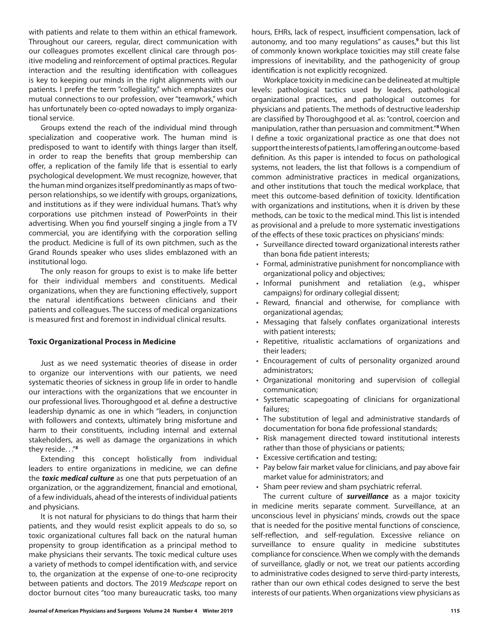with patients and relate to them within an ethical framework. Throughout our careers, regular, direct communication with our colleagues promotes excellent clinical care through positive modeling and reinforcement of optimal practices. Regular interaction and the resulting identification with colleagues is key to keeping our minds in the right alignments with our patients. I prefer the term "collegiality," which emphasizes our mutual connections to our profession, over "teamwork," which has unfortunately been co-opted nowadays to imply organizational service.

Groups extend the reach of the individual mind through specialization and cooperative work. The human mind is predisposed to want to identify with things larger than itself, in order to reap the benefits that group membership can offer, a replication of the family life that is essential to early psychological development. We must recognize, however, that the human mind organizes itself predominantly as maps of twoperson relationships, so we identify with groups, organizations, and institutions as if they were individual humans. That's why corporations use pitchmen instead of PowerPoints in their advertising. When you find yourself singing a jingle from a TV commercial, you are identifying with the corporation selling the product. Medicine is full of its own pitchmen, such as the Grand Rounds speaker who uses slides emblazoned with an institutional logo.

The only reason for groups to exist is to make life better for their individual members and constituents. Medical organizations, when they are functioning effectively, support the natural identifications between clinicians and their patients and colleagues. The success of medical organizations is measured first and foremost in individual clinical results.

#### **Toxic Organizational Process in Medicine**

Just as we need systematic theories of disease in order to organize our interventions with our patients, we need systematic theories of sickness in group life in order to handle our interactions with the organizations that we encounter in our professional lives. Thoroughgood et al. define a destructive leadership dynamic as one in which "leaders, in conjunction with followers and contexts, ultimately bring misfortune and harm to their constituents, including internal and external stakeholders, as well as damage the organizations in which they reside. . ."**<sup>8</sup>**

Extending this concept holistically from individual leaders to entire organizations in medicine, we can define the *toxic medical culture* as one that puts perpetuation of an organization, or the aggrandizement, financial and emotional, of a few individuals, ahead of the interests of individual patients and physicians.

It is not natural for physicians to do things that harm their patients, and they would resist explicit appeals to do so, so toxic organizational cultures fall back on the natural human propensity to group identification as a principal method to make physicians their servants. The toxic medical culture uses a variety of methods to compel identification with, and service to, the organization at the expense of one-to-one reciprocity between patients and doctors. The 2019 *Medscape* report on doctor burnout cites "too many bureaucratic tasks, too many hours, EHRs, lack of respect, insufficient compensation, lack of autonomy, and too many regulations" as causes,**<sup>9</sup>** but this list of commonly known workplace toxicities may still create false impressions of inevitability, and the pathogenicity of group identification is not explicitly recognized.

Workplace toxicity in medicine can be delineated at multiple levels: pathological tactics used by leaders, pathological organizational practices, and pathological outcomes for physicians and patients. The methods of destructive leadership are classified by Thoroughgood et al. as: "control, coercion and manipulation, rather than persuasion and commitment."**<sup>8</sup>** When I define a toxic organizational practice as one that does not support the interests of patients, I am offering an outcome-based definition. As this paper is intended to focus on pathological systems, not leaders, the list that follows is a compendium of common administrative practices in medical organizations, and other institutions that touch the medical workplace, that meet this outcome-based definition of toxicity. Identification with organizations and institutions, when it is driven by these methods, can be toxic to the medical mind. This list is intended as provisional and a prelude to more systematic investigations of the effects of these toxic practices on physicians' minds:

- Surveillance directed toward organizational interests rather than bona fide patient interests;
- Formal, administrative punishment for noncompliance with organizational policy and objectives;
- Informal punishment and retaliation (e.g., whisper campaigns) for ordinary collegial dissent;
- Reward, financial and otherwise, for compliance with organizational agendas;
- Messaging that falsely conflates organizational interests with patient interests;
- Repetitive, ritualistic acclamations of organizations and their leaders;
- Encouragement of cults of personality organized around administrators;
- Organizational monitoring and supervision of collegial communication;
- Systematic scapegoating of clinicians for organizational failures;
- The substitution of legal and administrative standards of documentation for bona fide professional standards;
- Risk management directed toward institutional interests rather than those of physicians or patients;
- Excessive certification and testing;
- Pay below fair market value for clinicians, and pay above fair market value for administrators; and
- Sham peer review and sham psychiatric referral.

The current culture of *surveillance* as a major toxicity in medicine merits separate comment. Surveillance, at an unconscious level in physicians' minds, crowds out the space that is needed for the positive mental functions of conscience, self-reflection, and self-regulation. Excessive reliance on surveillance to ensure quality in medicine substitutes compliance for conscience. When we comply with the demands of surveillance, gladly or not, we treat our patients according to administrative codes designed to serve third-party interests, rather than our own ethical codes designed to serve the best interests of our patients. When organizations view physicians as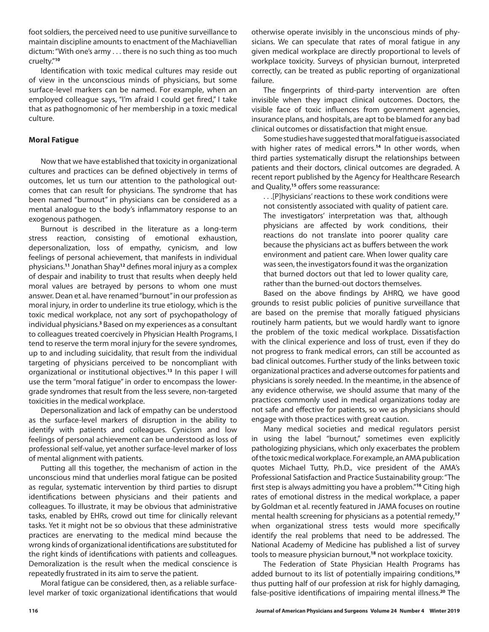foot soldiers, the perceived need to use punitive surveillance to maintain discipline amounts to enactment of the Machiavellian dictum: "With one's army . . . there is no such thing as too much cruelty."**<sup>10</sup>**

Identification with toxic medical cultures may reside out of view in the unconscious minds of physicians, but some surface-level markers can be named. For example, when an employed colleague says, "I'm afraid I could get fired," I take that as pathognomonic of her membership in a toxic medical culture.

#### **Moral Fatigue**

Now that we have established that toxicity in organizational cultures and practices can be defined objectively in terms of outcomes, let us turn our attention to the pathological outcomes that can result for physicians. The syndrome that has been named "burnout" in physicians can be considered as a mental analogue to the body's inflammatory response to an exogenous pathogen.

Burnout is described in the literature as a long-term stress reaction, consisting of emotional exhaustion, depersonalization, loss of empathy, cynicism, and low feelings of personal achievement, that manifests in individual physicians.**<sup>11</sup>** Jonathan Shay**<sup>12</sup>** defines moral injury as a complex of despair and inability to trust that results when deeply held moral values are betrayed by persons to whom one must answer. Dean et al. have renamed "burnout" in our profession as moral injury, in order to underline its true etiology, which is the toxic medical workplace, not any sort of psychopathology of individual physicians.**<sup>3</sup>** Based on my experiences as a consultant to colleagues treated coercively in Physician Health Programs, I tend to reserve the term moral injury for the severe syndromes, up to and including suicidality, that result from the individual targeting of physicians perceived to be noncompliant with organizational or institutional objectives.**<sup>13</sup>** In this paper I will use the term "moral fatigue" in order to encompass the lowergrade syndromes that result from the less severe, non-targeted toxicities in the medical workplace.

Depersonalization and lack of empathy can be understood as the surface-level markers of disruption in the ability to identify with patients and colleagues. Cynicism and low feelings of personal achievement can be understood as loss of professional self-value, yet another surface-level marker of loss of mental alignment with patients.

Putting all this together, the mechanism of action in the unconscious mind that underlies moral fatigue can be posited as regular, systematic intervention by third parties to disrupt identifications between physicians and their patients and colleagues. To illustrate, it may be obvious that administrative tasks, enabled by EHRs, crowd out time for clinically relevant tasks. Yet it might not be so obvious that these administrative practices are enervating to the medical mind because the wrong kinds of organizational identifications are substituted for the right kinds of identifications with patients and colleagues. Demoralization is the result when the medical conscience is repeatedly frustrated in its aim to serve the patient.

Moral fatigue can be considered, then, as a reliable surfacelevel marker of toxic organizational identifications that would otherwise operate invisibly in the unconscious minds of physicians. We can speculate that rates of moral fatigue in any given medical workplace are directly proportional to levels of workplace toxicity. Surveys of physician burnout, interpreted correctly, can be treated as public reporting of organizational failure.

The fingerprints of third-party intervention are often invisible when they impact clinical outcomes. Doctors, the visible face of toxic influences from government agencies, insurance plans, and hospitals, are apt to be blamed for any bad clinical outcomes or dissatisfaction that might ensue.

Some studies have suggested that moral fatigue is associated with higher rates of medical errors.**<sup>14</sup>** In other words, when third parties systematically disrupt the relationships between patients and their doctors, clinical outcomes are degraded. A recent report published by the Agency for Healthcare Research and Quality,**<sup>15</sup>** offers some reassurance:

. . .[P]hysicians' reactions to these work conditions were not consistently associated with quality of patient care. The investigators' interpretation was that, although physicians are affected by work conditions, their reactions do not translate into poorer quality care because the physicians act as buffers between the work environment and patient care. When lower quality care was seen, the investigators found it was the organization that burned doctors out that led to lower quality care, rather than the burned-out doctors themselves.

Based on the above findings by AHRQ, we have good grounds to resist public policies of punitive surveillance that are based on the premise that morally fatigued physicians routinely harm patients, but we would hardly want to ignore the problem of the toxic medical workplace. Dissatisfaction with the clinical experience and loss of trust, even if they do not progress to frank medical errors, can still be accounted as bad clinical outcomes. Further study of the links between toxic organizational practices and adverse outcomes for patients and physicians is sorely needed. In the meantime, in the absence of any evidence otherwise, we should assume that many of the practices commonly used in medical organizations today are not safe and effective for patients, so we as physicians should engage with those practices with great caution.

Many medical societies and medical regulators persist in using the label "burnout," sometimes even explicitly pathologizing physicians, which only exacerbates the problem of the toxic medical workplace. For example, an AMA publication quotes Michael Tutty, Ph.D., vice president of the AMA's Professional Satisfaction and Practice Sustainability group: "The first step is always admitting you have a problem."**<sup>16</sup>** Citing high rates of emotional distress in the medical workplace, a paper by Goldman et al. recently featured in JAMA focuses on routine mental health screening for physicians as a potential remedy,**<sup>17</sup>** when organizational stress tests would more specifically identify the real problems that need to be addressed. The National Academy of Medicine has published a list of survey tools to measure physician burnout,**<sup>18</sup>** not workplace toxicity.

The Federation of State Physician Health Programs has added burnout to its list of potentially impairing conditions,**<sup>19</sup>** thus putting half of our profession at risk for highly damaging, false-positive identifications of impairing mental illness.**20** The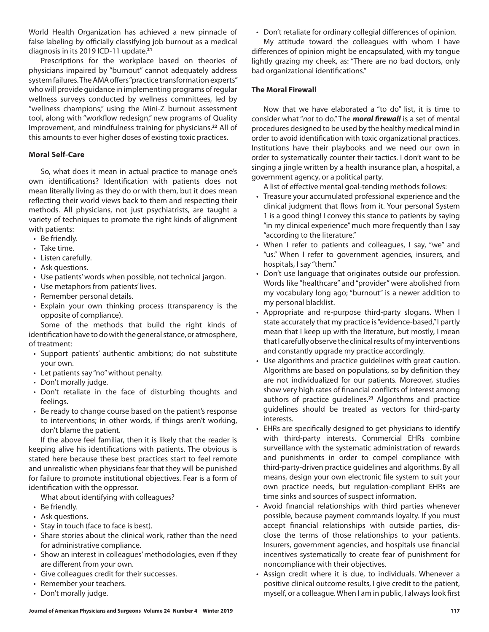World Health Organization has achieved a new pinnacle of false labeling by officially classifying job burnout as a medical diagnosis in its 2019 ICD-11 update.**<sup>21</sup>**

Prescriptions for the workplace based on theories of physicians impaired by "burnout" cannot adequately address system failures. The AMA offers "practice transformation experts" who will provide guidance in implementing programs of regular wellness surveys conducted by wellness committees, led by "wellness champions," using the Mini-Z burnout assessment tool, along with "workflow redesign," new programs of Quality Improvement, and mindfulness training for physicians.**<sup>22</sup>** All of this amounts to ever higher doses of existing toxic practices.

#### **Moral Self-Care**

So, what does it mean in actual practice to manage one's own identifications? Identification with patients does not mean literally living as they do or with them, but it does mean reflecting their world views back to them and respecting their methods. All physicians, not just psychiatrists, are taught a variety of techniques to promote the right kinds of alignment with patients:

- Be friendly.
- Take time.
- Listen carefully.
- Ask questions.
- Use patients' words when possible, not technical jargon.
- Use metaphors from patients' lives.
- Remember personal details.
- Explain your own thinking process (transparency is the opposite of compliance).

Some of the methods that build the right kinds of identification have to do with the general stance, or atmosphere, of treatment:

- Support patients' authentic ambitions; do not substitute your own.
- Let patients say "no" without penalty.
- Don't morally judge.
- Don't retaliate in the face of disturbing thoughts and feelings.
- Be ready to change course based on the patient's response to interventions; in other words, if things aren't working, don't blame the patient.

If the above feel familiar, then it is likely that the reader is keeping alive his identifications with patients. The obvious is stated here because these best practices start to feel remote and unrealistic when physicians fear that they will be punished for failure to promote institutional objectives. Fear is a form of identification with the oppressor.

What about identifying with colleagues?

- Be friendly.
- Ask questions.
- Stay in touch (face to face is best).
- Share stories about the clinical work, rather than the need for administrative compliance.
- Show an interest in colleagues' methodologies, even if they are different from your own.
- Give colleagues credit for their successes.
- Remember your teachers.
- Don't morally judge.

• Don't retaliate for ordinary collegial differences of opinion.

My attitude toward the colleagues with whom I have differences of opinion might be encapsulated, with my tongue lightly grazing my cheek, as: "There are no bad doctors, only bad organizational identifications."

#### **The Moral Firewall**

Now that we have elaborated a "to do" list, it is time to consider what "*not* to do." The *moral firewall* is a set of mental procedures designed to be used by the healthy medical mind in order to avoid identification with toxic organizational practices. Institutions have their playbooks and we need our own in order to systematically counter their tactics. I don't want to be singing a jingle written by a health insurance plan, a hospital, a government agency, or a political party.

A list of effective mental goal-tending methods follows:

- Treasure your accumulated professional experience and the clinical judgment that flows from it. Your personal System 1 is a good thing! I convey this stance to patients by saying "in my clinical experience" much more frequently than I say "according to the literature."
- When I refer to patients and colleagues, I say, "we" and "us." When I refer to government agencies, insurers, and hospitals, I say "them."
- Don't use language that originates outside our profession. Words like "healthcare" and "provider" were abolished from my vocabulary long ago; "burnout" is a newer addition to my personal blacklist.
- Appropriate and re-purpose third-party slogans. When I state accurately that my practice is "evidence-based," I partly mean that I keep up with the literature, but mostly, I mean that I carefully observe the clinical results of my interventions and constantly upgrade my practice accordingly.
- Use algorithms and practice guidelines with great caution. Algorithms are based on populations, so by definition they are not individualized for our patients. Moreover, studies show very high rates of financial conflicts of interest among authors of practice guidelines.**<sup>23</sup>** Algorithms and practice guidelines should be treated as vectors for third-party interests.
- EHRs are specifically designed to get physicians to identify with third-party interests. Commercial EHRs combine surveillance with the systematic administration of rewards and punishments in order to compel compliance with third-party-driven practice guidelines and algorithms. By all means, design your own electronic file system to suit your own practice needs, but regulation-compliant EHRs are time sinks and sources of suspect information.
- Avoid financial relationships with third parties whenever possible, because payment commands loyalty. If you must accept financial relationships with outside parties, disclose the terms of those relationships to your patients. Insurers, government agencies, and hospitals use financial incentives systematically to create fear of punishment for noncompliance with their objectives.
- Assign credit where it is due, to individuals. Whenever a positive clinical outcome results, I give credit to the patient, myself, or a colleague. When I am in public, I always look first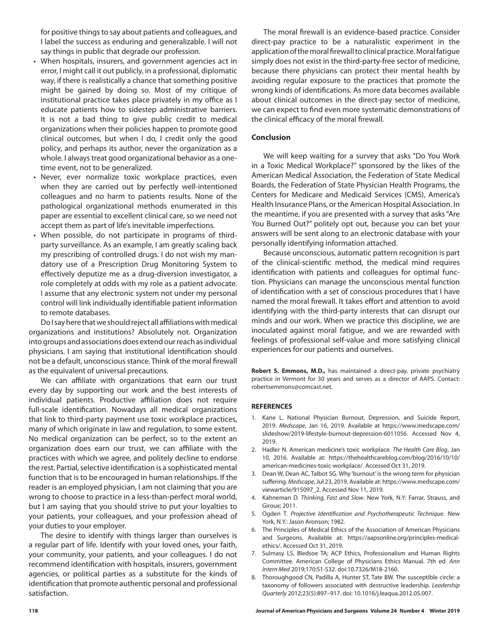for positive things to say about patients and colleagues, and I label the success as enduring and generalizable. I will not say things in public that degrade our profession.

- When hospitals, insurers, and government agencies act in error, I might call it out publicly, in a professional, diplomatic way, if there is realistically a chance that something positive might be gained by doing so. Most of my critique of institutional practice takes place privately in my office as I educate patients how to sidestep administrative barriers. It is not a bad thing to give public credit to medical organizations when their policies happen to promote good clinical outcomes, but when I do, I credit only the good policy, and perhaps its author, never the organization as a whole. I always treat good organizational behavior as a onetime event, not to be generalized.
- Never, ever normalize toxic workplace practices, even when they are carried out by perfectly well-intentioned colleagues and no harm to patients results. None of the pathological organizational methods enumerated in this paper are essential to excellent clinical care, so we need not accept them as part of life's inevitable imperfections.
- When possible, do not participate in programs of thirdparty surveillance. As an example, I am greatly scaling back my prescribing of controlled drugs. I do not wish my mandatory use of a Prescription Drug Monitoring System to effectively deputize me as a drug-diversion investigator, a role completely at odds with my role as a patient advocate. I assume that any electronic system not under my personal control will link individually identifiable patient information to remote databases.

Do I say here that we should reject all affiliations with medical organizations and institutions? Absolutely not. Organization into groups and associations does extend our reach as individual physicians. I am saying that institutional identification should not be a default, unconscious stance. Think of the moral firewall as the equivalent of universal precautions.

We can affiliate with organizations that earn our trust every day by supporting our work and the best interests of individual patients. Productive affiliation does not require full-scale identification. Nowadays all medical organizations that link to third-party payment use toxic workplace practices, many of which originate in law and regulation, to some extent. No medical organization can be perfect, so to the extent an organization does earn our trust, we can affiliate with the practices with which we agree, and politely decline to endorse the rest. Partial, selective identification is a sophisticated mental function that is to be encouraged in human relationships. If the reader is an employed physician, I am not claiming that you are wrong to choose to practice in a less-than-perfect moral world, but I am saying that you should strive to put your loyalties to your patients, your colleagues, and your profession ahead of your duties to your employer.

The desire to identify with things larger than ourselves is a regular part of life. Identify with your loved ones, your faith, your community, your patients, and your colleagues. I do not recommend identification with hospitals, insurers, government agencies, or political parties as a substitute for the kinds of identification that promote authentic personal and professional satisfaction.

The moral firewall is an evidence-based practice. Consider direct-pay practice to be a naturalistic experiment in the application of the moral firewall to clinical practice. Moral fatigue simply does not exist in the third-party-free sector of medicine, because there physicians can protect their mental health by avoiding regular exposure to the practices that promote the wrong kinds of identifications. As more data becomes available about clinical outcomes in the direct-pay sector of medicine, we can expect to find even more systematic demonstrations of the clinical efficacy of the moral firewall.

#### **Conclusion**

We will keep waiting for a survey that asks "Do You Work in a Toxic Medical Workplace?" sponsored by the likes of the American Medical Association, the Federation of State Medical Boards, the Federation of State Physician Health Programs, the Centers for Medicare and Medicaid Services (CMS), America's Health Insurance Plans, or the American Hospital Association. In the meantime, if you are presented with a survey that asks "Are You Burned Out?" politely opt out, because you can bet your answers will be sent along to an electronic database with your personally identifying information attached.

Because unconscious, automatic pattern recognition is part of the clinical-scientific method, the medical mind requires identification with patients and colleagues for optimal function. Physicians can manage the unconscious mental function of identification with a set of conscious procedures that I have named the moral firewall. It takes effort and attention to avoid identifying with the third-party interests that can disrupt our minds and our work. When we practice this discipline, we are inoculated against moral fatigue, and we are rewarded with feelings of professional self-value and more satisfying clinical experiences for our patients and ourselves.

**Robert S. Emmons, M.D.,** has maintained a direct-pay, private psychiatry practice in Vermont for 30 years and serves as a director of AAPS. Contact: robertsemmons@comcast.net.

#### **REFERENCES**

- 1. Kane L. National Physician Burnout, Depression, and Suicide Report, 2019. *Medscape*, Jan 16, 2019. Available at https://www.medscape.com/ slideshow/2019-lifestyle-burnout-depression-6011056. Accessed Nov 4, 2019.
- 2. Hadler N. American medicine's toxic workplace. *The Health Care Blog*, Jan 10, 2016. Available at: https://thehealthcareblog.com/blog/2016/10/10/ american-medicines-toxic-workplace/. Accessed Oct 31, 2019.
- 3. Dean W, Dean AC, Talbot SG. Why 'burnout' is the wrong term for physician suffering. *Medscape*, Jul 23, 2019. Available at: https://www.medscape.com/ viewarticle/915097\_2. Accessed Nov 11, 2019.
- 4. Kahneman D. *Thinking, Fast and Slow*. New York, N.Y: Farrar, Strauss, and Giroux; 2011.
- 5. Ogden T. *Projective Identification and Psychotherapeutic Technique*. New York, N.Y.: Jason Aronson; 1982.
- 6. The Principles of Medical Ethics of the Association of American Physicians and Surgeons. Available at: https://aapsonline.org/principles-medicalethics/. Accessed Oct 31, 2019.
- 7. Sulmasy LS, Bledsoe TA; ACP Ethics, Professionalism and Human Rights Committee. American College of Physicians Ethics Manual. 7th ed. *Ann Intern Med* 2019;170:S1-S32. doi:10.7326/M18-2160.
- 8. Thoroughgood CN, Padilla A, Hunter ST, Tate BW. The susceptible circle: a taxonomy of followers associated with destructive leadership. *Leadership Quarterly* 2012;23(5):897–917. doi: 10.1016/j.leaqua.2012.05.007.